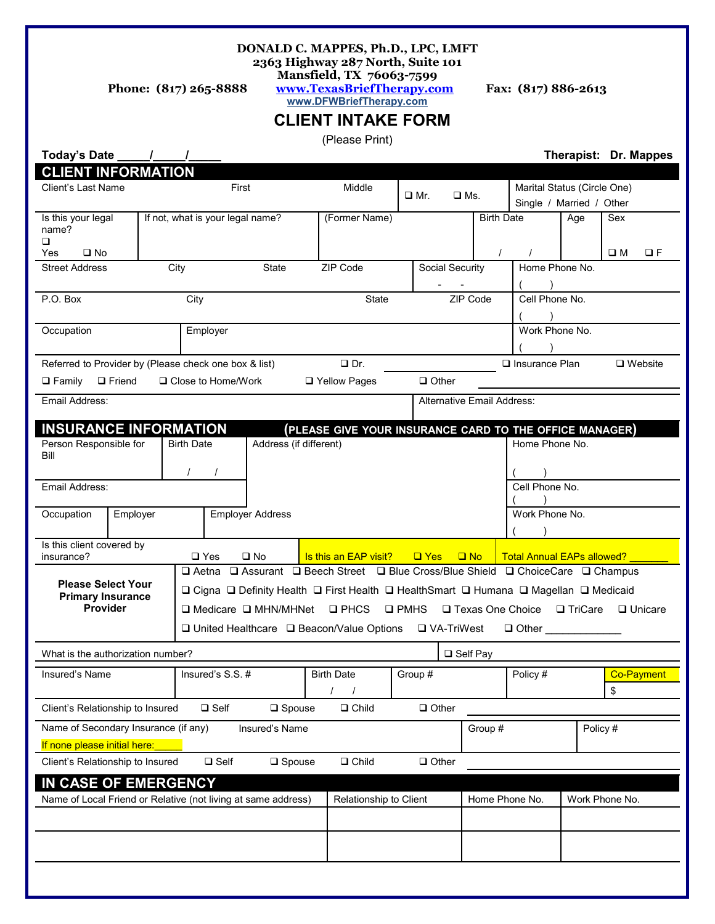#### **DONALD C. MAPPES, Ph.D., LPC, LMFT 2363 Highway 287 North, Suite 101**

**Mansfield, TX 76063-7599**

### **Phone: (817) 265-8888 [www.TexasBriefTherapy.com](http://www.TexasBriefTherapy.com/) Fax: (817) 886-2613 www.DFWBriefTherapy.com**

# **CLIENT INTAKE FORM**

(Please Print)

| Today's Date<br><b>CLIENT INFORMATION</b>                                | $\overline{1}$ |                                                                                                                                                                                                                                                                                                                                                                                        |                                  |                          |                         |                       |                 |                |                               |                                                         | Therapist: Dr. Mappes                                   |                    |                   |  |
|--------------------------------------------------------------------------|----------------|----------------------------------------------------------------------------------------------------------------------------------------------------------------------------------------------------------------------------------------------------------------------------------------------------------------------------------------------------------------------------------------|----------------------------------|--------------------------|-------------------------|-----------------------|-----------------|----------------|-------------------------------|---------------------------------------------------------|---------------------------------------------------------|--------------------|-------------------|--|
| Client's Last Name                                                       |                | First                                                                                                                                                                                                                                                                                                                                                                                  |                                  |                          |                         | Middle                |                 | $\square$ Mr.  | $\square$ Ms.                 |                                                         | Marital Status (Circle One)<br>Single / Married / Other |                    |                   |  |
| Is this your legal<br>name?<br>□<br>$\square$ No<br>Yes                  |                |                                                                                                                                                                                                                                                                                                                                                                                        | If not, what is your legal name? |                          |                         | (Former Name)         |                 |                | <b>Birth Date</b><br>$\prime$ |                                                         | Age                                                     | Sex<br>$\square$ M | $\Box F$          |  |
| <b>Street Address</b>                                                    | City           |                                                                                                                                                                                                                                                                                                                                                                                        |                                  | ZIP Code<br><b>State</b> |                         |                       | Social Security | Home Phone No. |                               |                                                         |                                                         |                    |                   |  |
| P.O. Box<br>City                                                         |                |                                                                                                                                                                                                                                                                                                                                                                                        |                                  |                          |                         |                       | State           |                | ZIP Code                      | Cell Phone No.                                          |                                                         |                    |                   |  |
| Occupation<br>Employer                                                   |                |                                                                                                                                                                                                                                                                                                                                                                                        |                                  |                          |                         |                       |                 |                |                               | Work Phone No.                                          |                                                         |                    |                   |  |
| Referred to Provider by (Please check one box & list)                    |                |                                                                                                                                                                                                                                                                                                                                                                                        |                                  |                          |                         | $\Box$ Dr.            |                 |                |                               | $\Box$ Insurance Plan                                   |                                                         |                    | $\Box$ Website    |  |
| $\Box$ Family                                                            | $\Box$ Friend  |                                                                                                                                                                                                                                                                                                                                                                                        | □ Close to Home/Work             |                          |                         | □ Yellow Pages        |                 | $\Box$ Other   |                               |                                                         |                                                         |                    |                   |  |
| Email Address:<br><b>Alternative Email Address:</b>                      |                |                                                                                                                                                                                                                                                                                                                                                                                        |                                  |                          |                         |                       |                 |                |                               |                                                         |                                                         |                    |                   |  |
| <b>INSURANCE INFORMATION</b>                                             |                |                                                                                                                                                                                                                                                                                                                                                                                        |                                  |                          |                         |                       |                 |                |                               | (PLEASE GIVE YOUR INSURANCE CARD TO THE OFFICE MANAGER) |                                                         |                    |                   |  |
| Person Responsible for<br><b>Birth Date</b><br>Bill<br>$\prime$          |                |                                                                                                                                                                                                                                                                                                                                                                                        |                                  | Address (if different)   |                         |                       |                 |                |                               | Home Phone No.                                          |                                                         |                    |                   |  |
| Email Address:                                                           |                |                                                                                                                                                                                                                                                                                                                                                                                        |                                  |                          |                         |                       |                 |                |                               | Cell Phone No.                                          |                                                         |                    |                   |  |
| Occupation                                                               | Employer       |                                                                                                                                                                                                                                                                                                                                                                                        |                                  |                          | <b>Employer Address</b> |                       |                 |                |                               |                                                         | Work Phone No.                                          |                    |                   |  |
| Is this client covered by<br>insurance?                                  |                |                                                                                                                                                                                                                                                                                                                                                                                        | $\square$ Yes                    | $\square$ No             |                         | Is this an EAP visit? |                 | $\Box$ Yes     | $\Box$ No                     | <b>Total Annual EAPs allowed?</b>                       |                                                         |                    |                   |  |
| <b>Please Select Your</b><br><b>Primary Insurance</b><br><b>Provider</b> |                | $\Box$ Aetna $\Box$ Assurant $\Box$ Beech Street $\Box$ Blue Cross/Blue Shield $\Box$ ChoiceCare $\Box$ Champus<br>□ Cigna □ Definity Health □ First Health □ HealthSmart □ Humana □ Magellan □ Medicaid<br>□ PHCS □ PMHS □ Texas One Choice □ TriCare<br>$\Box$ Medicare $\Box$ MHN/MHNet<br>$\Box$ Unicare<br>$\Box$ United Healthcare $\Box$ Beacon/Value Options $\Box$ VA-TriWest |                                  |                          |                         |                       |                 |                |                               |                                                         |                                                         |                    |                   |  |
| What is the authorization number?                                        |                |                                                                                                                                                                                                                                                                                                                                                                                        |                                  |                          |                         |                       |                 |                | $\Box$ Self Pay               |                                                         |                                                         |                    |                   |  |
| Insured's Name                                                           |                |                                                                                                                                                                                                                                                                                                                                                                                        | Insured's S.S.#                  |                          | <b>Birth Date</b>       |                       |                 | Group #        |                               | Policy #                                                |                                                         | \$                 | <b>Co-Payment</b> |  |
| Client's Relationship to Insured                                         |                |                                                                                                                                                                                                                                                                                                                                                                                        | $\Box$ Self                      | $\square$ Spouse         |                         | $\square$ Child       |                 | $\Box$ Other   |                               |                                                         |                                                         |                    |                   |  |
| Name of Secondary Insurance (if any)<br>Insured's Name                   |                |                                                                                                                                                                                                                                                                                                                                                                                        |                                  |                          |                         |                       |                 |                | Group #                       |                                                         | Policy#                                                 |                    |                   |  |
| If none please initial here:                                             |                |                                                                                                                                                                                                                                                                                                                                                                                        |                                  |                          |                         |                       |                 |                |                               |                                                         |                                                         |                    |                   |  |
| Client's Relationship to Insured                                         |                |                                                                                                                                                                                                                                                                                                                                                                                        | $\square$ Self                   | $\square$ Spouse         |                         | $\Box$ Child          |                 | $\Box$ Other   |                               |                                                         |                                                         |                    |                   |  |
| IN CASE OF EMERGENCY                                                     |                |                                                                                                                                                                                                                                                                                                                                                                                        |                                  |                          |                         |                       |                 |                |                               |                                                         |                                                         |                    |                   |  |
| Name of Local Friend or Relative (not living at same address)            |                |                                                                                                                                                                                                                                                                                                                                                                                        |                                  |                          | Relationship to Client  |                       |                 |                | Home Phone No.                |                                                         |                                                         | Work Phone No.     |                   |  |
|                                                                          |                |                                                                                                                                                                                                                                                                                                                                                                                        |                                  |                          |                         |                       |                 |                |                               |                                                         |                                                         |                    |                   |  |
|                                                                          |                |                                                                                                                                                                                                                                                                                                                                                                                        |                                  |                          |                         |                       |                 |                |                               |                                                         |                                                         |                    |                   |  |
|                                                                          |                |                                                                                                                                                                                                                                                                                                                                                                                        |                                  |                          |                         |                       |                 |                |                               |                                                         |                                                         |                    |                   |  |